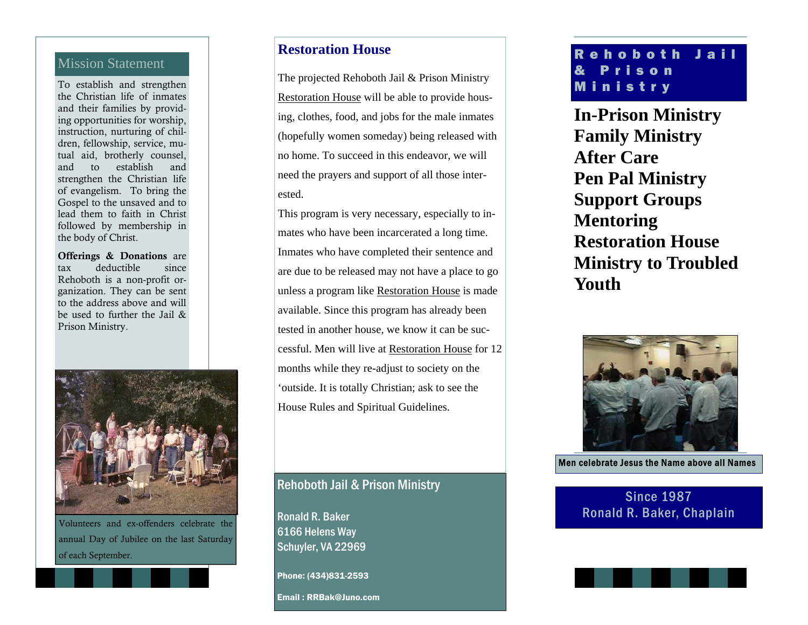#### Mission Statement

To establish and strengthen the Christian life of inmates and their families by providing opportunities for worship, instruction, nurturing of children, fellowship, service, mutual aid, brotherly counsel, and to establish and strengthen the Christian life of evangelism. To bring the Gospel to the unsaved and to lead them to faith in Christ followed by membership in the body of Christ.

Offerings & Donations are tax deductible since Rehoboth is a non-profit organization. They can be sent to the address above and will be used to further the Jail & Prison Ministry.



Volunteers and ex-offenders celebrate the annual Day of Jubilee on the last Saturday of each September.

#### **Restoration House**

The projected Rehoboth Jail & Prison Ministry Restoration House will be able to provide housing, clothes, food, and jobs for the male inmates (hopefully women someday) being released with no home. To succeed in this endeavor, we will need the prayers and support of all those interested.

This program is very necessary, especially to inmates who have been incarcerated a long time. Inmates who have completed their sentence and are due to be released may not have a place to go unless a program like Restoration House is made available. Since this program has already been tested in another house, we know it can be successful. Men will live at Restoration House for 12 months while they re-adjust to society on the 'outside. It is totally Christian; ask to see the House Rules and Spiritual Guidelines.

#### Rehoboth Jail & Prison Ministry

Ronald R. Baker 6166 Helens Way Schuyler, VA 22969

Phone: (434)831-2593

Email : RRBak@Juno.com

### Rehoboth Jail & Prison Ministry

**In-Prison Ministry Family Ministry After Care Pen Pal Ministry Support Groups Mentoring Restoration House Ministry to Troubled Youth** 



Men celebrate Jesus the Name above all Names

Since 1987 Ronald R. Baker, Chaplain